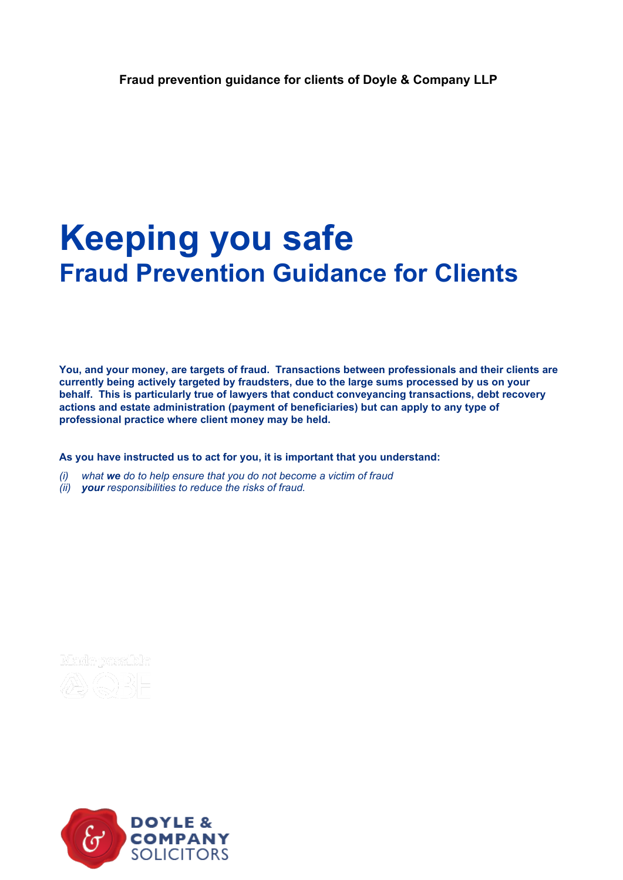# **Keeping you safe Fraud Prevention Guidance for Clients**

**You, and your money, are targets of fraud. Transactions between professionals and their clients are currently being actively targeted by fraudsters, due to the large sums processed by us on your behalf. This is particularly true of lawyers that conduct conveyancing transactions, debt recovery actions and estate administration (payment of beneficiaries) but can apply to any type of professional practice where client money may be held.**

**As you have instructed us to act for you, it is important that you understand:**

- *(i) what we do to help ensure that you do not become a victim of fraud*
- *(ii) your responsibilities to reduce the risks of fraud.*



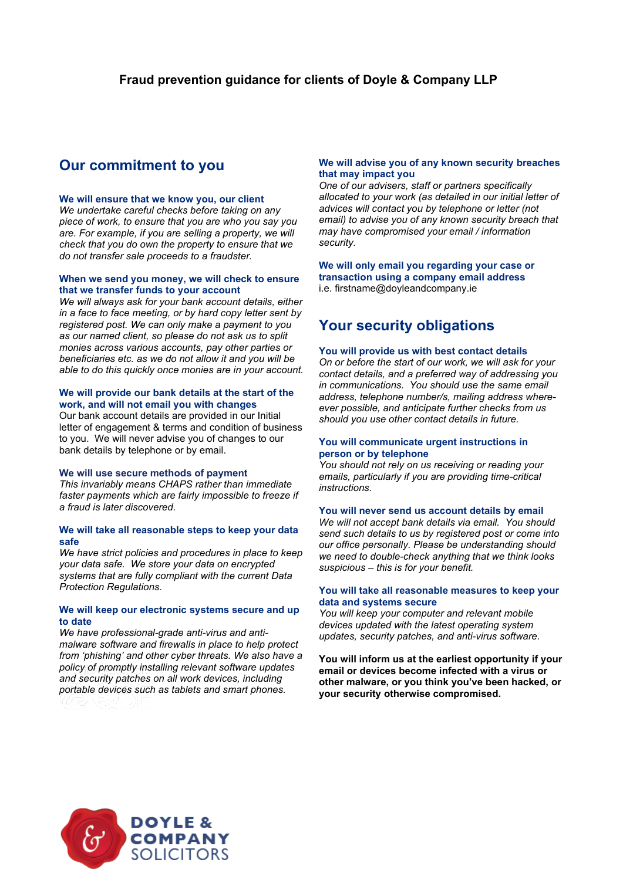### **Our commitment to you**

#### **We will ensure that we know you, our client**

*We undertake careful checks before taking on any piece of work, to ensure that you are who you say you are. For example, if you are selling a property, we will check that you do own the property to ensure that we do not transfer sale proceeds to a fraudster.* 

#### **When we send you money, we will check to ensure that we transfer funds to your account**

*We will always ask for your bank account details, either in a face to face meeting, or by hard copy letter sent by registered post. We can only make a payment to you as our named client, so please do not ask us to split monies across various accounts, pay other parties or beneficiaries etc. as we do not allow it and you will be able to do this quickly once monies are in your account.*

#### **We will provide our bank details at the start of the work, and will not email you with changes**

Our bank account details are provided in our Initial letter of engagement & terms and condition of business to you. We will never advise you of changes to our bank details by telephone or by email.

#### **We will use secure methods of payment**

*This invariably means CHAPS rather than immediate faster payments which are fairly impossible to freeze if a fraud is later discovered.*

#### **We will take all reasonable steps to keep your data safe**

*We have strict policies and procedures in place to keep your data safe. We store your data on encrypted systems that are fully compliant with the current Data Protection Regulations.* 

#### **We will keep our electronic systems secure and up to date**

*We have professional-grade anti-virus and antimalware software and firewalls in place to help protect from 'phishing' and other cyber threats. We also have a policy of promptly installing relevant software updates and security patches on all work devices, including portable devices such as tablets and smart phones.* 

#### **We will advise you of any known security breaches that may impact you**

*One of our advisers, staff or partners specifically allocated to your work (as detailed in our initial letter of advices will contact you by telephone or letter (not email) to advise you of any known security breach that may have compromised your email / information security.* 

#### **We will only email you regarding your case or transaction using a company email address** i.e. firstname@doyleandcompany.ie

## **Your security obligations**

#### **You will provide us with best contact details**

*On or before the start of our work, we will ask for your contact details, and a preferred way of addressing you in communications. You should use the same email address, telephone number/s, mailing address whereever possible, and anticipate further checks from us should you use other contact details in future.* 

#### **You will communicate urgent instructions in person or by telephone**

*You should not rely on us receiving or reading your emails, particularly if you are providing time-critical instructions.* 

#### **You will never send us account details by email**

*We will not accept bank details via email. You should send such details to us by registered post or come into our office personally. Please be understanding should we need to double-check anything that we think looks suspicious – this is for your benefit.*

#### **You will take all reasonable measures to keep your data and systems secure**

*You will keep your computer and relevant mobile devices updated with the latest operating system updates, security patches, and anti-virus software.*

**You will inform us at the earliest opportunity if your email or devices become infected with a virus or other malware, or you think you've been hacked, or your security otherwise compromised.**